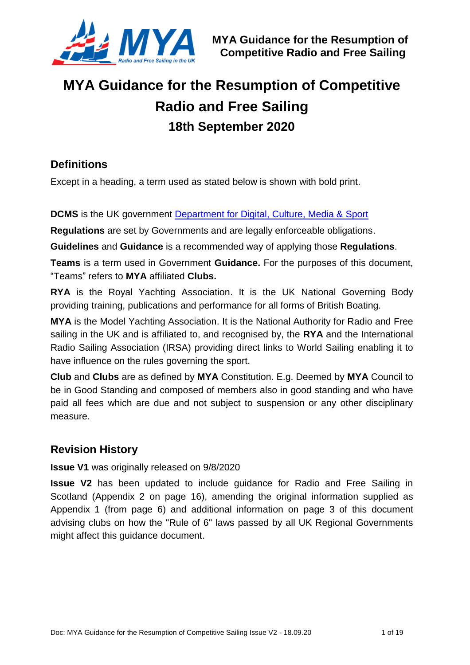

# **MYA Guidance for the Resumption of Competitive Radio and Free Sailing 18th September 2020**

#### **Definitions**

Except in a heading, a term used as stated below is shown with bold print.

#### **DCMS** is the UK government [Department for Digital, Culture, Media & Sport](https://www.gov.uk/government/organisations/department-for-digital-culture-media-sport)

**Regulations** are set by Governments and are legally enforceable obligations.

**Guidelines** and **Guidance** is a recommended way of applying those **Regulations**.

**Teams** is a term used in Government **Guidance.** For the purposes of this document, "Teams" refers to **MYA** affiliated **Clubs.**

**RYA** is the Royal Yachting Association. It is the UK National Governing Body providing training, publications and performance for all forms of British Boating.

**MYA** is the Model Yachting Association. It is the National Authority for Radio and Free sailing in the UK and is affiliated to, and recognised by, the **RYA** and the International Radio Sailing Association (IRSA) providing direct links to World Sailing enabling it to have influence on the rules governing the sport.

**Club** and **Clubs** are as defined by **MYA** Constitution. E.g. Deemed by **MYA** Council to be in Good Standing and composed of members also in good standing and who have paid all fees which are due and not subject to suspension or any other disciplinary measure.

### **Revision History**

#### **Issue V1** was originally released on 9/8/2020

**Issue V2** has been updated to include guidance for Radio and Free Sailing in Scotland (Appendix 2 on page [16\)](#page-15-0), amending the original information supplied as Appendix 1 (from page [6\)](#page-5-0) and additional information on page [3](#page-2-0) of this document advising clubs on how the "Rule of 6" laws passed by all UK Regional Governments might affect this guidance document.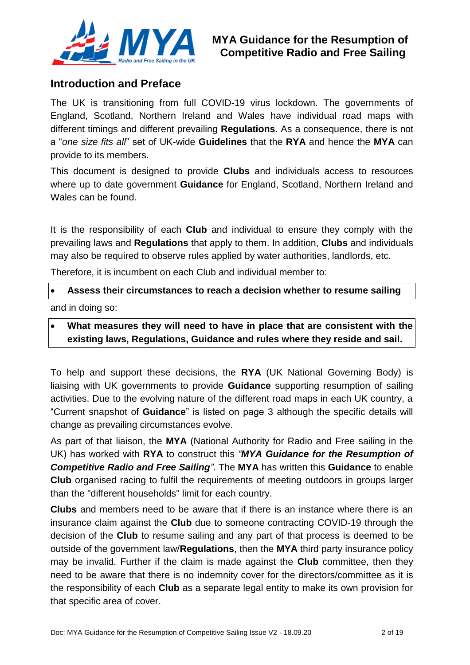

#### **Introduction and Preface**

The UK is transitioning from full COVID-19 virus lockdown. The governments of England, Scotland, Northern Ireland and Wales have individual road maps with different timings and different prevailing **Regulations**. As a consequence, there is not a "*one size fits all*" set of UK-wide **Guidelines** that the **RYA** and hence the **MYA** can provide to its members.

This document is designed to provide **Clubs** and individuals access to resources where up to date government **Guidance** for England, Scotland, Northern Ireland and Wales can be found.

It is the responsibility of each **Club** and individual to ensure they comply with the prevailing laws and **Regulations** that apply to them. In addition, **Clubs** and individuals may also be required to observe rules applied by water authorities, landlords, etc.

Therefore, it is incumbent on each Club and individual member to:

#### **Assess their circumstances to reach a decision whether to resume sailing**

and in doing so:

#### **What measures they will need to have in place that are consistent with the existing laws, Regulations, Guidance and rules where they reside and sail.**

To help and support these decisions, the **RYA** (UK National Governing Body) is liaising with UK governments to provide **Guidance** supporting resumption of sailing activities. Due to the evolving nature of the different road maps in each UK country, a "Current snapshot of **Guidance**" is listed on page [3](#page-2-0) although the specific details will change as prevailing circumstances evolve.

As part of that liaison, the **MYA** (National Authority for Radio and Free sailing in the UK) has worked with **RYA** to construct this *"MYA Guidance for the Resumption of Competitive Radio and Free Sailing"*. The **MYA** has written this **Guidance** to enable **Club** organised racing to fulfil the requirements of meeting outdoors in groups larger than the "different households" limit for each country.

<span id="page-1-0"></span>**Clubs** and members need to be aware that if there is an instance where there is an insurance claim against the **Club** due to someone contracting COVID-19 through the decision of the **Club** to resume sailing and any part of that process is deemed to be outside of the government law/**Regulations**, then the **MYA** third party insurance policy may be invalid. Further if the claim is made against the **Club** committee, then they need to be aware that there is no indemnity cover for the directors/committee as it is the responsibility of each **Club** as a separate legal entity to make its own provision for that specific area of cover.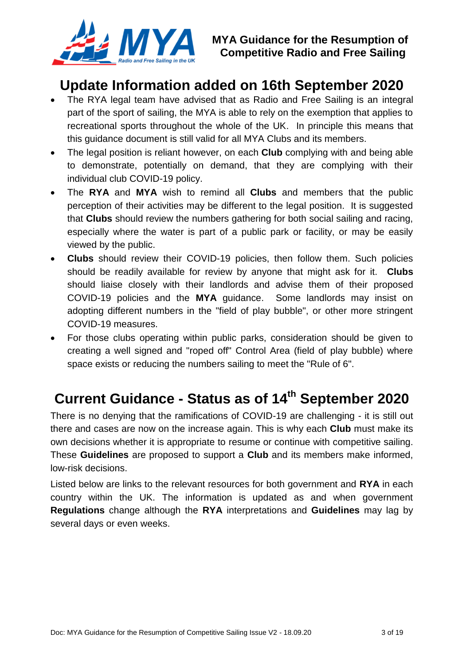

## <span id="page-2-0"></span>**Update Information added on 16th September 2020**

- The RYA legal team have advised that as Radio and Free Sailing is an integral part of the sport of sailing, the MYA is able to rely on the exemption that applies to recreational sports throughout the whole of the UK. In principle this means that this guidance document is still valid for all MYA Clubs and its members.
- The legal position is reliant however, on each **Club** complying with and being able to demonstrate, potentially on demand, that they are complying with their individual club COVID-19 policy.
- The **RYA** and **MYA** wish to remind all **Clubs** and members that the public perception of their activities may be different to the legal position. It is suggested that **Clubs** should review the numbers gathering for both social sailing and racing, especially where the water is part of a public park or facility, or may be easily viewed by the public.
- **Clubs** should review their COVID-19 policies, then follow them. Such policies should be readily available for review by anyone that might ask for it. **Clubs** should liaise closely with their landlords and advise them of their proposed COVID-19 policies and the **MYA** guidance. Some landlords may insist on adopting different numbers in the "field of play bubble", or other more stringent COVID-19 measures.
- For those clubs operating within public parks, consideration should be given to creating a well signed and "roped off" Control Area (field of play bubble) where space exists or reducing the numbers sailing to meet the "Rule of 6".

# **Current Guidance - Status as of 14th September 2020**

There is no denying that the ramifications of COVID-19 are challenging - it is still out there and cases are now on the increase again. This is why each **Club** must make its own decisions whether it is appropriate to resume or continue with competitive sailing. These **Guidelines** are proposed to support a **Club** and its members make informed, low-risk decisions.

Listed below are links to the relevant resources for both government and **RYA** in each country within the UK. The information is updated as and when government **Regulations** change although the **RYA** interpretations and **Guidelines** may lag by several days or even weeks.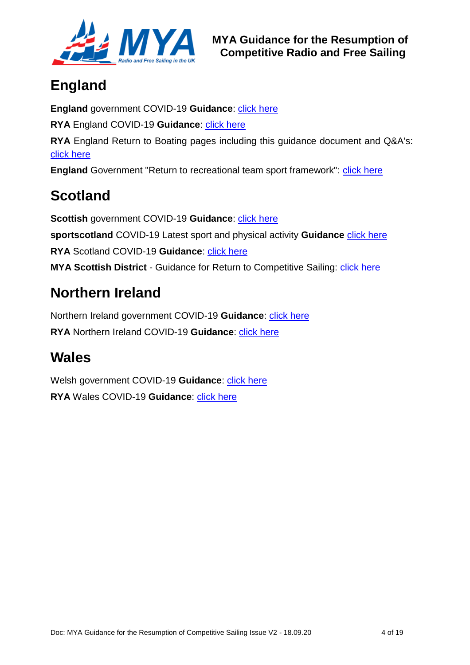

# **England**

**England** government COVID-19 **Guidance**: [click here](https://www.gov.uk/coronavirus) **RYA** England COVID-19 **Guidance**: [click here](https://www.rya.org.uk/knowledge-advice/current-affairs/Pages/coronavirus-covid-19.aspx) **RYA** England Return to Boating pages including this guidance document and Q&A's: [click here](https://www.rya.org.uk/programmes/Pages/return-to-boating.aspx) **England** Government "Return to recreational team sport framework": [click here](https://www.gov.uk/government/publications/coronavirus-covid-19-guidance-on-phased-return-of-sport-and-recreation/return-to-recreational-team-sport-framework)

# **Scotland**

**Scottish government COVID-19 Guidance: [click here](https://www.gov.scot/coronavirus-covid-19/) sportscotland** COVID-19 Latest sport and physical activity **Guidance** [click here](file:///C:/Users/User/Downloads/Latest%20sport%20and%20physical%20activity%20guidance) **RYA** Scotland COVID-19 **Guidance**: [click here](https://www.rya.org.uk/scotland/representation/Pages/Return-to-Boating.aspx) **MYA Scottish District** - Guidance for Return to Competitive Sailing: *click here* 

# **Northern Ireland**

Northern Ireland government COVID-19 **Guidance**: [click here](https://www.nidirect.gov.uk/campaigns/coronavirus-covid-19) **RYA** Northern Ireland COVID-19 **Guidance**: [click here](https://www.rya.org.uk/newsevents/news/Pages/RYA-Northern-Ireland-continues-to-review-developments-of-COVID-19.aspx)

# **Wales**

Welsh government COVID-19 **Guidance**: *click here* **RYA** Wales COVID-19 **Guidance**: [click here](https://www.rya.org.uk/rya-regions/rya-cymru-wales/information-advice/Pages/ReturntoBoatingWales.aspx)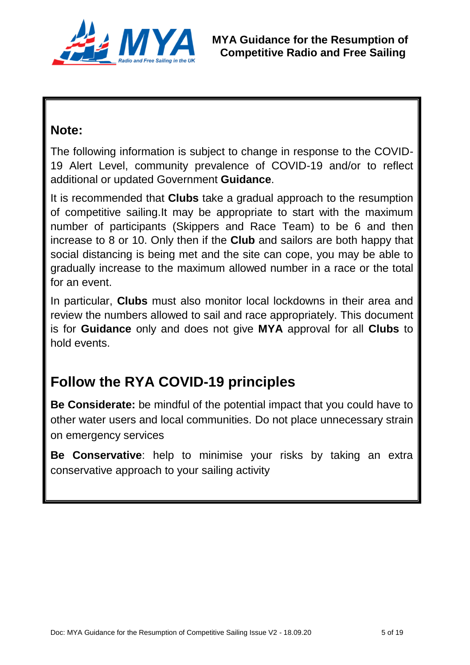

## **Note:**

The following information is subject to change in response to the COVID-19 Alert Level, community prevalence of COVID-19 and/or to reflect additional or updated Government **Guidance**.

It is recommended that **Clubs** take a gradual approach to the resumption of competitive sailing.It may be appropriate to start with the maximum number of participants (Skippers and Race Team) to be 6 and then increase to 8 or 10. Only then if the **Club** and sailors are both happy that social distancing is being met and the site can cope, you may be able to gradually increase to the maximum allowed number in a race or the total for an event.

In particular, **Clubs** must also monitor local lockdowns in their area and review the numbers allowed to sail and race appropriately. This document is for **Guidance** only and does not give **MYA** approval for all **Clubs** to hold events.

# **Follow the RYA COVID-19 principles**

**Be Considerate:** be mindful of the potential impact that you could have to other water users and local communities. Do not place unnecessary strain on emergency services

**Be Conservative**: help to minimise your risks by taking an extra conservative approach to your sailing activity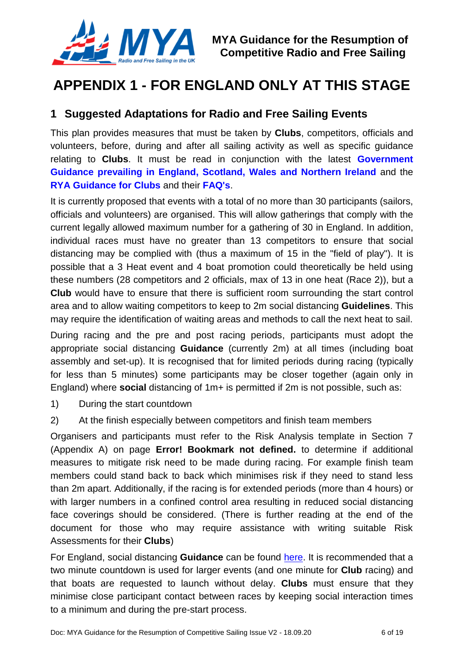

## **APPENDIX 1 - FOR ENGLAND ONLY AT THIS STAGE**

#### <span id="page-5-0"></span>**1 Suggested Adaptations for Radio and Free Sailing Events**

This plan provides measures that must be taken by **Clubs**, competitors, officials and volunteers, before, during and after all sailing activity as well as specific guidance relating to **Clubs**. It must be read in conjunction with the latest **[Government](https://www.gov.uk/coronavirus)  Guidance [prevailing in England,](https://www.gov.uk/coronavirus) Scotland, Wales and Northern Ireland** and the **[RYA Guidance for Clubs](https://www.rya.org.uk/SiteCollectionDocuments/clubs/Club_Guidance_Covid19_v1.2.pdf)** and their **[FAQ's](https://www.rya.org.uk/training-support/Pages/coronavirus_guidance.aspx)**.

It is currently proposed that events with a total of no more than 30 participants (sailors, officials and volunteers) are organised. This will allow gatherings that comply with the current legally allowed maximum number for a gathering of 30 in England. In addition, individual races must have no greater than 13 competitors to ensure that social distancing may be complied with (thus a maximum of 15 in the "field of play"). It is possible that a 3 Heat event and 4 boat promotion could theoretically be held using these numbers (28 competitors and 2 officials, max of 13 in one heat (Race 2)), but a **Club** would have to ensure that there is sufficient room surrounding the start control area and to allow waiting competitors to keep to 2m social distancing **Guidelines**. This may require the identification of waiting areas and methods to call the next heat to sail.

During racing and the pre and post racing periods, participants must adopt the appropriate social distancing **Guidance** (currently 2m) at all times (including boat assembly and set-up). It is recognised that for limited periods during racing (typically for less than 5 minutes) some participants may be closer together (again only in England) where **social** distancing of 1m+ is permitted if 2m is not possible, such as:

- 1) During the start countdown
- 2) At the finish especially between competitors and finish team members

Organisers and participants must refer to the Risk Analysis template in Section 7 (Appendix A) on page **Error! Bookmark not defined.** to determine if additional measures to mitigate risk need to be made during racing. For example finish team members could stand back to back which minimises risk if they need to stand less than 2m apart. Additionally, if the racing is for extended periods (more than 4 hours) or with larger numbers in a confined control area resulting in reduced social distancing face coverings should be considered. (There is further reading at the end of the document for those who may require assistance with writing suitable Risk Assessments for their **Clubs**)

For England, social distancing **Guidance** can be found [here.](https://www.gov.uk/government/publications/staying-alert-and-safe-social-distancing) It is recommended that a two minute countdown is used for larger events (and one minute for **Club** racing) and that boats are requested to launch without delay. **Clubs** must ensure that they minimise close participant contact between races by keeping social interaction times to a minimum and during the pre-start process.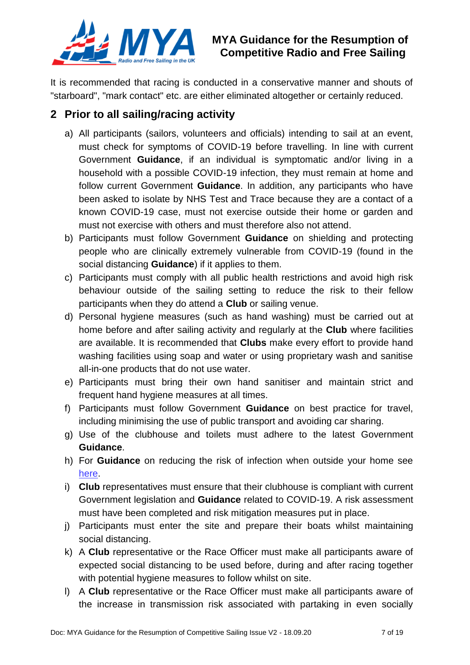

It is recommended that racing is conducted in a conservative manner and shouts of "starboard", "mark contact" etc. are either eliminated altogether or certainly reduced.

#### **2 Prior to all sailing/racing activity**

- a) All participants (sailors, volunteers and officials) intending to sail at an event, must check for symptoms of COVID-19 before travelling. In line with current Government **Guidance**, if an individual is symptomatic and/or living in a household with a possible COVID-19 infection, they must remain at home and follow current Government **Guidance**. In addition, any participants who have been asked to isolate by NHS Test and Trace because they are a contact of a known COVID-19 case, must not exercise outside their home or garden and must not exercise with others and must therefore also not attend.
- b) Participants must follow Government **Guidance** on shielding and protecting people who are clinically extremely vulnerable from COVID-19 (found in the social distancing **Guidance**) if it applies to them.
- c) Participants must comply with all public health restrictions and avoid high risk behaviour outside of the sailing setting to reduce the risk to their fellow participants when they do attend a **Club** or sailing venue.
- d) Personal hygiene measures (such as hand washing) must be carried out at home before and after sailing activity and regularly at the **Club** where facilities are available. It is recommended that **Clubs** make every effort to provide hand washing facilities using soap and water or using proprietary wash and sanitise all-in-one products that do not use water.
- e) Participants must bring their own hand sanitiser and maintain strict and frequent hand hygiene measures at all times.
- f) Participants must follow Government **Guidance** on best practice for travel, including minimising the use of public transport and avoiding car sharing.
- g) Use of the clubhouse and toilets must adhere to the latest Government **Guidance**.
- h) For **Guidance** on reducing the risk of infection when outside your home see [here.](https://www.gov.uk/government/publications/staying-safe-outside-your-home)
- i) **Club** representatives must ensure that their clubhouse is compliant with current Government legislation and **Guidance** related to COVID-19. A risk assessment must have been completed and risk mitigation measures put in place.
- j) Participants must enter the site and prepare their boats whilst maintaining social distancing.
- k) A **Club** representative or the Race Officer must make all participants aware of expected social distancing to be used before, during and after racing together with potential hygiene measures to follow whilst on site.
- l) A **Club** representative or the Race Officer must make all participants aware of the increase in transmission risk associated with partaking in even socially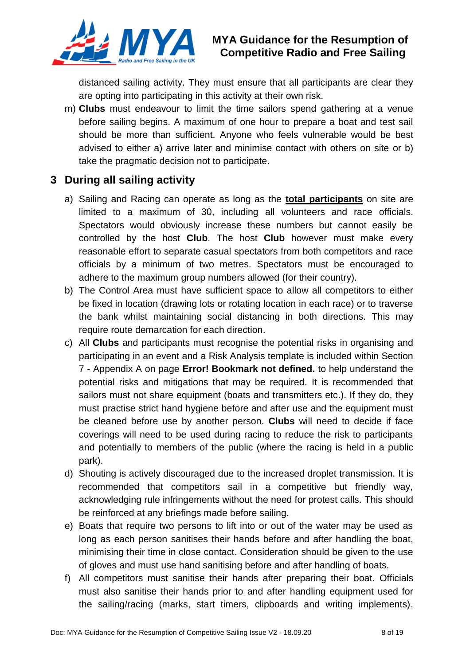

### **MYA Guidance for the Resumption of Competitive Radio and Free Sailing**

distanced sailing activity. They must ensure that all participants are clear they are opting into participating in this activity at their own risk.

m) **Clubs** must endeavour to limit the time sailors spend gathering at a venue before sailing begins. A maximum of one hour to prepare a boat and test sail should be more than sufficient. Anyone who feels vulnerable would be best advised to either a) arrive later and minimise contact with others on site or b) take the pragmatic decision not to participate.

#### **3 During all sailing activity**

- a) Sailing and Racing can operate as long as the **total participants** on site are limited to a maximum of 30, including all volunteers and race officials. Spectators would obviously increase these numbers but cannot easily be controlled by the host **Club**. The host **Club** however must make every reasonable effort to separate casual spectators from both competitors and race officials by a minimum of two metres. Spectators must be encouraged to adhere to the maximum group numbers allowed (for their country).
- b) The Control Area must have sufficient space to allow all competitors to either be fixed in location (drawing lots or rotating location in each race) or to traverse the bank whilst maintaining social distancing in both directions. This may require route demarcation for each direction.
- c) All **Clubs** and participants must recognise the potential risks in organising and participating in an event and a Risk Analysis template is included within Section 7 - Appendix A on page **Error! Bookmark not defined.** to help understand the potential risks and mitigations that may be required. It is recommended that sailors must not share equipment (boats and transmitters etc.). If they do, they must practise strict hand hygiene before and after use and the equipment must be cleaned before use by another person. **Clubs** will need to decide if face coverings will need to be used during racing to reduce the risk to participants and potentially to members of the public (where the racing is held in a public park).
- d) Shouting is actively discouraged due to the increased droplet transmission. It is recommended that competitors sail in a competitive but friendly way, acknowledging rule infringements without the need for protest calls. This should be reinforced at any briefings made before sailing.
- e) Boats that require two persons to lift into or out of the water may be used as long as each person sanitises their hands before and after handling the boat, minimising their time in close contact. Consideration should be given to the use of gloves and must use hand sanitising before and after handling of boats.
- f) All competitors must sanitise their hands after preparing their boat. Officials must also sanitise their hands prior to and after handling equipment used for the sailing/racing (marks, start timers, clipboards and writing implements).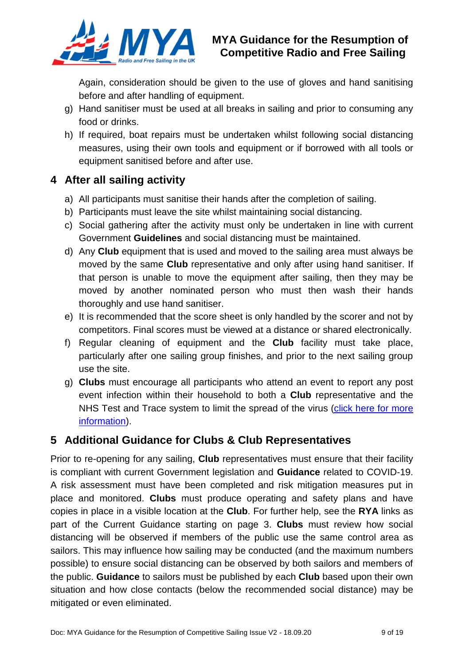

Again, consideration should be given to the use of gloves and hand sanitising before and after handling of equipment.

- g) Hand sanitiser must be used at all breaks in sailing and prior to consuming any food or drinks.
- h) If required, boat repairs must be undertaken whilst following social distancing measures, using their own tools and equipment or if borrowed with all tools or equipment sanitised before and after use.

### **4 After all sailing activity**

- a) All participants must sanitise their hands after the completion of sailing.
- b) Participants must leave the site whilst maintaining social distancing.
- c) Social gathering after the activity must only be undertaken in line with current Government **Guidelines** and social distancing must be maintained.
- d) Any **Club** equipment that is used and moved to the sailing area must always be moved by the same **Club** representative and only after using hand sanitiser. If that person is unable to move the equipment after sailing, then they may be moved by another nominated person who must then wash their hands thoroughly and use hand sanitiser.
- e) It is recommended that the score sheet is only handled by the scorer and not by competitors. Final scores must be viewed at a distance or shared electronically.
- f) Regular cleaning of equipment and the **Club** facility must take place, particularly after one sailing group finishes, and prior to the next sailing group use the site.
- g) **Clubs** must encourage all participants who attend an event to report any post event infection within their household to both a **Club** representative and the NHS Test and Trace system to limit the spread of the virus (click here for more [information\)](https://www.gov.uk/guidance/nhs-test-and-trace-how-it-works.).

#### **5 Additional Guidance for Clubs & Club Representatives**

Prior to re-opening for any sailing, **Club** representatives must ensure that their facility is compliant with current Government legislation and **Guidance** related to COVID-19. A risk assessment must have been completed and risk mitigation measures put in place and monitored. **Clubs** must produce operating and safety plans and have copies in place in a visible location at the **Club**. For further help, see the **RYA** links as part of the Current Guidance starting on page [3.](#page-1-0) **Clubs** must review how social distancing will be observed if members of the public use the same control area as sailors. This may influence how sailing may be conducted (and the maximum numbers possible) to ensure social distancing can be observed by both sailors and members of the public. **Guidance** to sailors must be published by each **Club** based upon their own situation and how close contacts (below the recommended social distance) may be mitigated or even eliminated.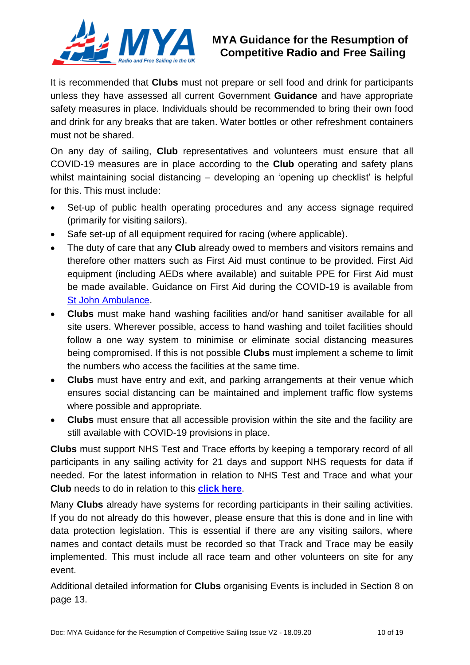

### **MYA Guidance for the Resumption of Competitive Radio and Free Sailing**

It is recommended that **Clubs** must not prepare or sell food and drink for participants unless they have assessed all current Government **Guidance** and have appropriate safety measures in place. Individuals should be recommended to bring their own food and drink for any breaks that are taken. Water bottles or other refreshment containers must not be shared.

On any day of sailing, **Club** representatives and volunteers must ensure that all COVID-19 measures are in place according to the **Club** operating and safety plans whilst maintaining social distancing – developing an 'opening up checklist' is helpful for this. This must include:

- Set-up of public health operating procedures and any access signage required (primarily for visiting sailors).
- Safe set-up of all equipment required for racing (where applicable).
- The duty of care that any **Club** already owed to members and visitors remains and therefore other matters such as First Aid must continue to be provided. First Aid equipment (including AEDs where available) and suitable PPE for First Aid must be made available. Guidance on First Aid during the COVID-19 is available from [St John Ambulance.](https://www.sja.org.uk/get-advice/first-aid-advice/covid-19-advice-for-first-aiders/)
- **Clubs** must make hand washing facilities and/or hand sanitiser available for all site users. Wherever possible, access to hand washing and toilet facilities should follow a one way system to minimise or eliminate social distancing measures being compromised. If this is not possible **Clubs** must implement a scheme to limit the numbers who access the facilities at the same time.
- **Clubs** must have entry and exit, and parking arrangements at their venue which ensures social distancing can be maintained and implement traffic flow systems where possible and appropriate.
- **Clubs** must ensure that all accessible provision within the site and the facility are still available with COVID-19 provisions in place.

**Clubs** must support NHS Test and Trace efforts by keeping a temporary record of all participants in any sailing activity for 21 days and support NHS requests for data if needed. For the latest information in relation to NHS Test and Trace and what your **Club** needs to do in relation to this **[click here](https://www.gov.uk/guidance/nhs-test-and-trace-how-it-works.)**.

Many **Clubs** already have systems for recording participants in their sailing activities. If you do not already do this however, please ensure that this is done and in line with data protection legislation. This is essential if there are any visiting sailors, where names and contact details must be recorded so that Track and Trace may be easily implemented. This must include all race team and other volunteers on site for any event.

Additional detailed information for **Clubs** organising Events is included in Section 8 on page [13.](#page-12-0)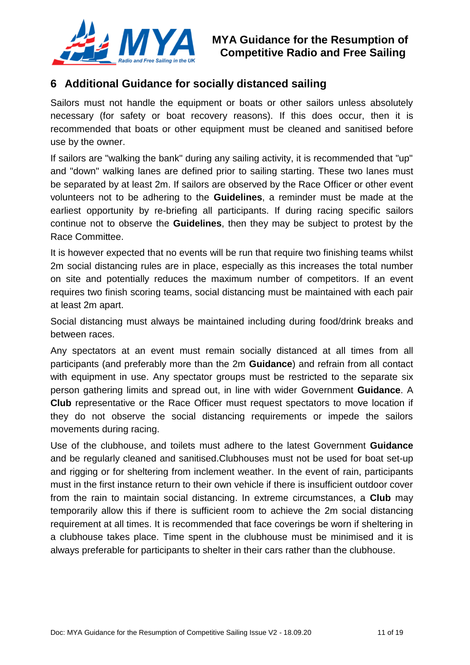

#### **6 Additional Guidance for socially distanced sailing**

Sailors must not handle the equipment or boats or other sailors unless absolutely necessary (for safety or boat recovery reasons). If this does occur, then it is recommended that boats or other equipment must be cleaned and sanitised before use by the owner.

If sailors are "walking the bank" during any sailing activity, it is recommended that "up" and "down" walking lanes are defined prior to sailing starting. These two lanes must be separated by at least 2m. If sailors are observed by the Race Officer or other event volunteers not to be adhering to the **Guidelines**, a reminder must be made at the earliest opportunity by re-briefing all participants. If during racing specific sailors continue not to observe the **Guidelines**, then they may be subject to protest by the Race Committee.

It is however expected that no events will be run that require two finishing teams whilst 2m social distancing rules are in place, especially as this increases the total number on site and potentially reduces the maximum number of competitors. If an event requires two finish scoring teams, social distancing must be maintained with each pair at least 2m apart.

Social distancing must always be maintained including during food/drink breaks and between races.

Any spectators at an event must remain socially distanced at all times from all participants (and preferably more than the 2m **Guidance**) and refrain from all contact with equipment in use. Any spectator groups must be restricted to the separate six person gathering limits and spread out, in line with wider Government **Guidance**. A **Club** representative or the Race Officer must request spectators to move location if they do not observe the social distancing requirements or impede the sailors movements during racing.

Use of the clubhouse, and toilets must adhere to the latest Government **Guidance** and be regularly cleaned and sanitised.Clubhouses must not be used for boat set-up and rigging or for sheltering from inclement weather. In the event of rain, participants must in the first instance return to their own vehicle if there is insufficient outdoor cover from the rain to maintain social distancing. In extreme circumstances, a **Club** may temporarily allow this if there is sufficient room to achieve the 2m social distancing requirement at all times. It is recommended that face coverings be worn if sheltering in a clubhouse takes place. Time spent in the clubhouse must be minimised and it is always preferable for participants to shelter in their cars rather than the clubhouse.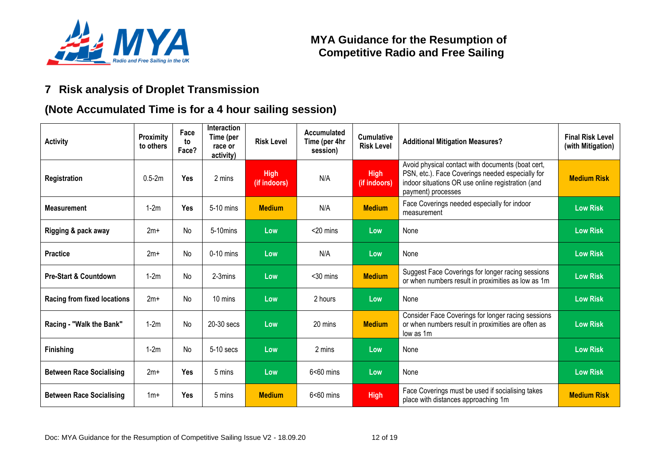

## **7 Risk analysis of Droplet Transmission**

### **(Note Accumulated Time is for a 4 hour sailing session)**

<span id="page-11-0"></span>

| <b>Activity</b>                    | Proximity<br>to others | Face<br>to<br>Face? | Interaction<br>Time (per<br>race or<br>activity) | <b>Risk Level</b>           | Accumulated<br>Time (per 4hr<br>session) | <b>Cumulative</b><br><b>Risk Level</b> | <b>Additional Mitigation Measures?</b>                                                                                                                                           | <b>Final Risk Level</b><br>(with Mitigation) |
|------------------------------------|------------------------|---------------------|--------------------------------------------------|-----------------------------|------------------------------------------|----------------------------------------|----------------------------------------------------------------------------------------------------------------------------------------------------------------------------------|----------------------------------------------|
| Registration                       | $0.5 - 2m$             | Yes                 | 2 mins                                           | <b>High</b><br>(if indoors) | N/A                                      | <b>High</b><br>(if indoors)            | Avoid physical contact with documents (boat cert,<br>PSN, etc.). Face Coverings needed especially for<br>indoor situations OR use online registration (and<br>payment) processes | <b>Medium Risk</b>                           |
| <b>Measurement</b>                 | $1-2m$                 | <b>Yes</b>          | 5-10 mins                                        | <b>Medium</b>               | N/A                                      | <b>Medium</b>                          | Face Coverings needed especially for indoor<br>measurement                                                                                                                       | <b>Low Risk</b>                              |
| Rigging & pack away                | $2m+$                  | No                  | 5-10mins                                         | Low                         | $<$ 20 mins                              | Low                                    | None                                                                                                                                                                             | <b>Low Risk</b>                              |
| <b>Practice</b>                    | $2m+$                  | No                  | $0-10$ mins                                      | Low                         | N/A                                      | Low                                    | None                                                                                                                                                                             | <b>Low Risk</b>                              |
| <b>Pre-Start &amp; Countdown</b>   | $1-2m$                 | No                  | 2-3mins                                          | Low                         | $30$ mins                                | <b>Medium</b>                          | Suggest Face Coverings for longer racing sessions<br>or when numbers result in proximities as low as 1m                                                                          | <b>Low Risk</b>                              |
| <b>Racing from fixed locations</b> | $2m+$                  | No                  | 10 mins                                          | Low                         | 2 hours                                  | Low                                    | None                                                                                                                                                                             | <b>Low Risk</b>                              |
| Racing - "Walk the Bank"           | $1-2m$                 | No                  | 20-30 secs                                       | Low                         | 20 mins                                  | <b>Medium</b>                          | Consider Face Coverings for longer racing sessions<br>or when numbers result in proximities are often as<br>low as 1m                                                            | <b>Low Risk</b>                              |
| <b>Finishing</b>                   | $1-2m$                 | No                  | 5-10 secs                                        | Low                         | 2 mins                                   | Low                                    | None                                                                                                                                                                             | <b>Low Risk</b>                              |
| <b>Between Race Socialising</b>    | $2m+$                  | Yes                 | 5 mins                                           | Low                         | $6<60$ mins                              | Low                                    | None                                                                                                                                                                             | <b>Low Risk</b>                              |
| <b>Between Race Socialising</b>    | $1m+$                  | Yes                 | 5 mins                                           | <b>Medium</b>               | $6<60$ mins                              | <b>High</b>                            | Face Coverings must be used if socialising takes<br>place with distances approaching 1m                                                                                          | <b>Medium Risk</b>                           |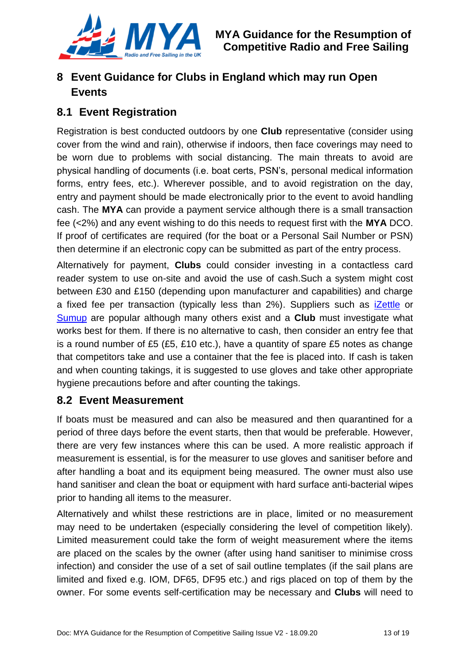

## <span id="page-12-0"></span>**8 Event Guidance for Clubs in England which may run Open Events**

### **8.1 Event Registration**

Registration is best conducted outdoors by one **Club** representative (consider using cover from the wind and rain), otherwise if indoors, then face coverings may need to be worn due to problems with social distancing. The main threats to avoid are physical handling of documents (i.e. boat certs, PSN's, personal medical information forms, entry fees, etc.). Wherever possible, and to avoid registration on the day, entry and payment should be made electronically prior to the event to avoid handling cash. The **MYA** can provide a payment service although there is a small transaction fee (<2%) and any event wishing to do this needs to request first with the **MYA** DCO. If proof of certificates are required (for the boat or a Personal Sail Number or PSN) then determine if an electronic copy can be submitted as part of the entry process.

Alternatively for payment, **Clubs** could consider investing in a contactless card reader system to use on-site and avoid the use of cash.Such a system might cost between £30 and £150 (depending upon manufacturer and capabilities) and charge a fixed fee per transaction (typically less than 2%). Suppliers such as *[iZettle](https://shop.izettle.com/gb/card-terminals)* or [Sumup](https://sumup.co.uk/welcome/home/?gclid=CjwKCAjwr7X4BRA4EiwAUXjbt6wKaDWLHph4P6rVRPXop3VQljumEd5aWHBnnS19ynLGndJxbZpIXRoCxz0QAvD_BwE) are popular although many others exist and a **Club** must investigate what works best for them. If there is no alternative to cash, then consider an entry fee that is a round number of £5 (£5, £10 etc.), have a quantity of spare £5 notes as change that competitors take and use a container that the fee is placed into. If cash is taken and when counting takings, it is suggested to use gloves and take other appropriate hygiene precautions before and after counting the takings.

#### **8.2 Event Measurement**

If boats must be measured and can also be measured and then quarantined for a period of three days before the event starts, then that would be preferable. However, there are very few instances where this can be used. A more realistic approach if measurement is essential, is for the measurer to use gloves and sanitiser before and after handling a boat and its equipment being measured. The owner must also use hand sanitiser and clean the boat or equipment with hard surface anti-bacterial wipes prior to handing all items to the measurer.

Alternatively and whilst these restrictions are in place, limited or no measurement may need to be undertaken (especially considering the level of competition likely). Limited measurement could take the form of weight measurement where the items are placed on the scales by the owner (after using hand sanitiser to minimise cross infection) and consider the use of a set of sail outline templates (if the sail plans are limited and fixed e.g. IOM, DF65, DF95 etc.) and rigs placed on top of them by the owner. For some events self-certification may be necessary and **Clubs** will need to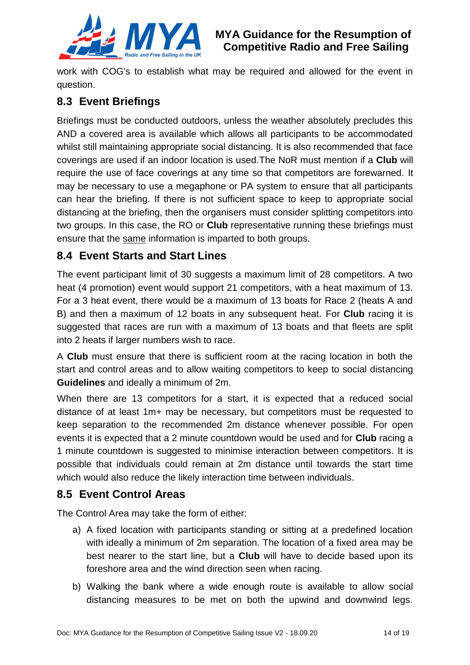

work with COG's to establish what may be required and allowed for the event in question.

### **8.3 Event Briefings**

Briefings must be conducted outdoors, unless the weather absolutely precludes this AND a covered area is available which allows all participants to be accommodated whilst still maintaining appropriate social distancing. It is also recommended that face coverings are used if an indoor location is used.The NoR must mention if a **Club** will require the use of face coverings at any time so that competitors are forewarned. It may be necessary to use a megaphone or PA system to ensure that all participants can hear the briefing. If there is not sufficient space to keep to appropriate social distancing at the briefing, then the organisers must consider splitting competitors into two groups. In this case, the RO or **Club** representative running these briefings must ensure that the same information is imparted to both groups.

### **8.4 Event Starts and Start Lines**

The event participant limit of 30 suggests a maximum limit of 28 competitors. A two heat (4 promotion) event would support 21 competitors, with a heat maximum of 13. For a 3 heat event, there would be a maximum of 13 boats for Race 2 (heats A and B) and then a maximum of 12 boats in any subsequent heat. For **Club** racing it is suggested that races are run with a maximum of 13 boats and that fleets are split into 2 heats if larger numbers wish to race.

A **Club** must ensure that there is sufficient room at the racing location in both the start and control areas and to allow waiting competitors to keep to social distancing **Guidelines** and ideally a minimum of 2m.

When there are 13 competitors for a start, it is expected that a reduced social distance of at least 1m+ may be necessary, but competitors must be requested to keep separation to the recommended 2m distance whenever possible. For open events it is expected that a 2 minute countdown would be used and for **Club** racing a 1 minute countdown is suggested to minimise interaction between competitors. It is possible that individuals could remain at 2m distance until towards the start time which would also reduce the likely interaction time between individuals.

#### **8.5 Event Control Areas**

The Control Area may take the form of either:

- a) A fixed location with participants standing or sitting at a predefined location with ideally a minimum of 2m separation. The location of a fixed area may be best nearer to the start line, but a **Club** will have to decide based upon its foreshore area and the wind direction seen when racing.
- b) Walking the bank where a wide enough route is available to allow social distancing measures to be met on both the upwind and downwind legs.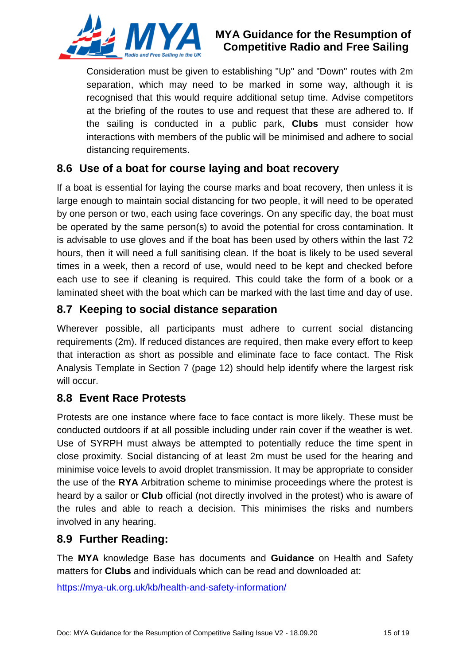

#### **MYA Guidance for the Resumption of Competitive Radio and Free Sailing**

Consideration must be given to establishing "Up" and "Down" routes with 2m separation, which may need to be marked in some way, although it is recognised that this would require additional setup time. Advise competitors at the briefing of the routes to use and request that these are adhered to. If the sailing is conducted in a public park, **Clubs** must consider how interactions with members of the public will be minimised and adhere to social distancing requirements.

### **8.6 Use of a boat for course laying and boat recovery**

If a boat is essential for laying the course marks and boat recovery, then unless it is large enough to maintain social distancing for two people, it will need to be operated by one person or two, each using face coverings. On any specific day, the boat must be operated by the same person(s) to avoid the potential for cross contamination. It is advisable to use gloves and if the boat has been used by others within the last 72 hours, then it will need a full sanitising clean. If the boat is likely to be used several times in a week, then a record of use, would need to be kept and checked before each use to see if cleaning is required. This could take the form of a book or a laminated sheet with the boat which can be marked with the last time and day of use.

### **8.7 Keeping to social distance separation**

Wherever possible, all participants must adhere to current social distancing requirements (2m). If reduced distances are required, then make every effort to keep that interaction as short as possible and eliminate face to face contact. The Risk Analysis Template in Section 7 (page [12\)](#page-11-0) should help identify where the largest risk will occur.

#### **8.8 Event Race Protests**

Protests are one instance where face to face contact is more likely. These must be conducted outdoors if at all possible including under rain cover if the weather is wet. Use of SYRPH must always be attempted to potentially reduce the time spent in close proximity. Social distancing of at least 2m must be used for the hearing and minimise voice levels to avoid droplet transmission. It may be appropriate to consider the use of the **RYA** Arbitration scheme to minimise proceedings where the protest is heard by a sailor or **Club** official (not directly involved in the protest) who is aware of the rules and able to reach a decision. This minimises the risks and numbers involved in any hearing.

#### **8.9 Further Reading:**

The **MYA** knowledge Base has documents and **Guidance** on Health and Safety matters for **Clubs** and individuals which can be read and downloaded at:

<https://mya-uk.org.uk/kb/health-and-safety-information/>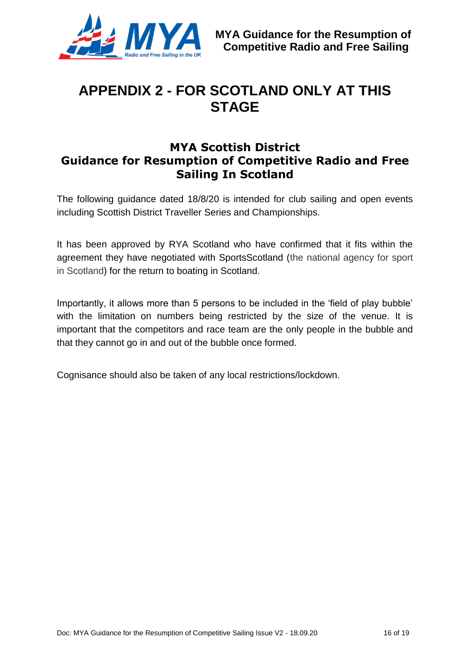

## <span id="page-15-0"></span>**APPENDIX 2 - FOR SCOTLAND ONLY AT THIS STAGE**

#### **MYA Scottish District Guidance for Resumption of Competitive Radio and Free Sailing In Scotland**

The following guidance dated 18/8/20 is intended for club sailing and open events including Scottish District Traveller Series and Championships.

It has been approved by RYA Scotland who have confirmed that it fits within the agreement they have negotiated with SportsScotland (the national agency for sport in Scotland) for the return to boating in Scotland.

Importantly, it allows more than 5 persons to be included in the 'field of play bubble' with the limitation on numbers being restricted by the size of the venue. It is important that the competitors and race team are the only people in the bubble and that they cannot go in and out of the bubble once formed.

Cognisance should also be taken of any local restrictions/lockdown.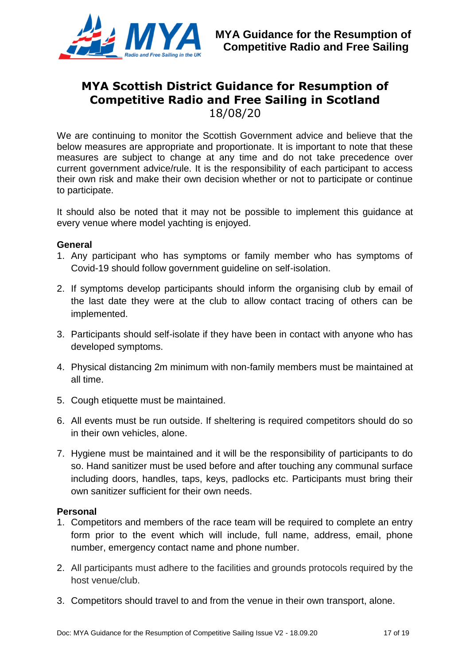

## **MYA Scottish District Guidance for Resumption of Competitive Radio and Free Sailing in Scotland**

18/08/20

We are continuing to monitor the Scottish Government advice and believe that the below measures are appropriate and proportionate. It is important to note that these measures are subject to change at any time and do not take precedence over current government advice/rule. It is the responsibility of each participant to access their own risk and make their own decision whether or not to participate or continue to participate.

It should also be noted that it may not be possible to implement this guidance at every venue where model yachting is enjoyed.

#### **General**

- 1. Any participant who has symptoms or family member who has symptoms of Covid-19 should follow government guideline on self-isolation.
- 2. If symptoms develop participants should inform the organising club by email of the last date they were at the club to allow contact tracing of others can be implemented.
- 3. Participants should self-isolate if they have been in contact with anyone who has developed symptoms.
- 4. Physical distancing 2m minimum with non-family members must be maintained at all time.
- 5. Cough etiquette must be maintained.
- 6. All events must be run outside. If sheltering is required competitors should do so in their own vehicles, alone.
- 7. Hygiene must be maintained and it will be the responsibility of participants to do so. Hand sanitizer must be used before and after touching any communal surface including doors, handles, taps, keys, padlocks etc. Participants must bring their own sanitizer sufficient for their own needs.

#### **Personal**

- 1. Competitors and members of the race team will be required to complete an entry form prior to the event which will include, full name, address, email, phone number, emergency contact name and phone number.
- 2. All participants must adhere to the facilities and grounds protocols required by the host venue/club.
- 3. Competitors should travel to and from the venue in their own transport, alone.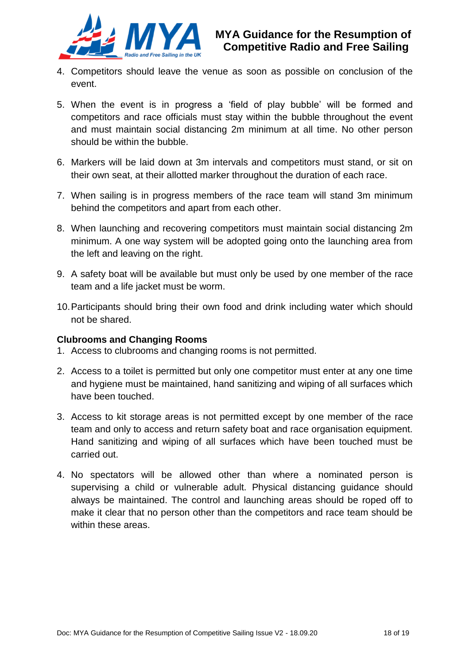

- 4. Competitors should leave the venue as soon as possible on conclusion of the event.
- 5. When the event is in progress a 'field of play bubble' will be formed and competitors and race officials must stay within the bubble throughout the event and must maintain social distancing 2m minimum at all time. No other person should be within the bubble.
- 6. Markers will be laid down at 3m intervals and competitors must stand, or sit on their own seat, at their allotted marker throughout the duration of each race.
- 7. When sailing is in progress members of the race team will stand 3m minimum behind the competitors and apart from each other.
- 8. When launching and recovering competitors must maintain social distancing 2m minimum. A one way system will be adopted going onto the launching area from the left and leaving on the right.
- 9. A safety boat will be available but must only be used by one member of the race team and a life jacket must be worm.
- 10.Participants should bring their own food and drink including water which should not be shared.

#### **Clubrooms and Changing Rooms**

- 1. Access to clubrooms and changing rooms is not permitted.
- 2. Access to a toilet is permitted but only one competitor must enter at any one time and hygiene must be maintained, hand sanitizing and wiping of all surfaces which have been touched.
- 3. Access to kit storage areas is not permitted except by one member of the race team and only to access and return safety boat and race organisation equipment. Hand sanitizing and wiping of all surfaces which have been touched must be carried out.
- 4. No spectators will be allowed other than where a nominated person is supervising a child or vulnerable adult. Physical distancing guidance should always be maintained. The control and launching areas should be roped off to make it clear that no person other than the competitors and race team should be within these areas.